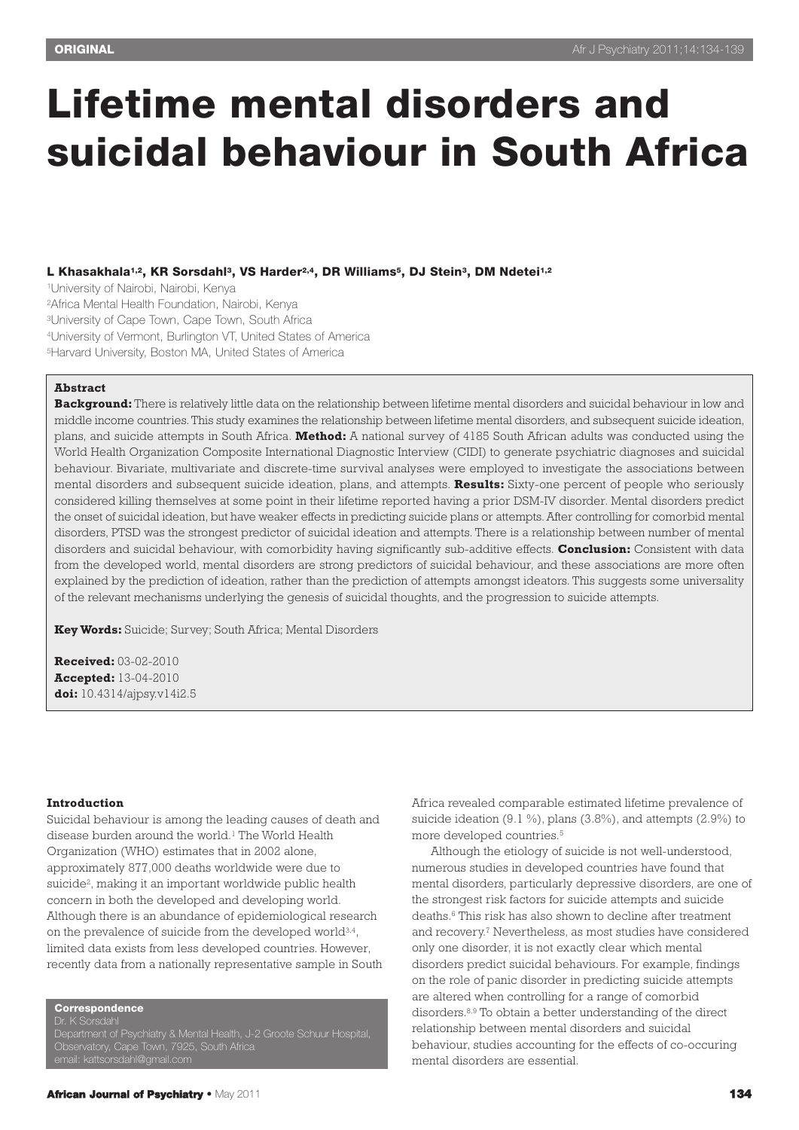# **Lifetime mental disorders and suicidal behaviour in South Africa**

# **L Khasakhala1,2, KR Sorsdahl3, VS Harder2,4, DR Williams5, DJ Stein3, DM Ndetei1,2**

1University of Nairobi, Nairobi, Kenya 2Africa Mental Health Foundation, Nairobi, Kenya 3University of Cape Town, Cape Town, South Africa 4University of Vermont, Burlington VT, United States of America 5Harvard University, Boston MA, United States of America

## **Abstract**

**Background:** There is relatively little data on the relationship between lifetime mental disorders and suicidal behaviour in low and middle income countries. This study examines the relationship between lifetime mental disorders, and subsequent suicide ideation, plans, and suicide attempts in South Africa. **Method:** A national survey of 4185 South African adults was conducted using the World Health Organization Composite International Diagnostic Interview (CIDI) to generate psychiatric diagnoses and suicidal behaviour. Bivariate, multivariate and discrete-time survival analyses were employed to investigate the associations between mental disorders and subsequent suicide ideation, plans, and attempts. **Results:** Sixty-one percent of people who seriously considered killing themselves at some point in their lifetime reported having a prior DSM-IV disorder. Mental disorders predict the onset of suicidal ideation, but have weaker effects in predicting suicide plans or attempts. After controlling for comorbid mental disorders, PTSD was the strongest predictor of suicidal ideation and attempts. There is a relationship between number of mental disorders and suicidal behaviour, with comorbidity having significantly sub-additive effects. **Conclusion:** Consistent with data from the developed world, mental disorders are strong predictors of suicidal behaviour, and these associations are more often explained by the prediction of ideation, rather than the prediction of attempts amongst ideators. This suggests some universality of the relevant mechanisms underlying the genesis of suicidal thoughts, and the progression to suicide attempts.

**Key Words:** Suicide; Survey; South Africa; Mental Disorders

**Received:** 03-02-2010 **Accepted:** 13-04-2010 **doi:** 10.4314/ajpsy.v14i2.5

## **Introduction**

Suicidal behaviour is among the leading causes of death and disease burden around the world. <sup>1</sup> The World Health Organization (WHO) estimates that in 2002 alone, approximately 877,000 deaths worldwide were due to suicide<sup>2</sup>, making it an important worldwide public health concern in both the developed and developing world. Although there is an abundance of epidemiological research on the prevalence of suicide from the developed world<sup>3,4</sup>, limited data exists from less developed countries. However, recently data from a nationally representative sample in South

**Correspondence**

Dr. K Sorsdahl Department of Psychiatry & Mental Health, J-2 Groote Schuur Hospital, Observatory, Cape Town, 7925, South Africa email: kattsorsdahl@gmail.com

Africa revealed comparable estimated lifetime prevalence of suicide ideation (9.1 %), plans (3.8%), and attempts (2.9%) to more developed countries. 5

Although the etiology of suicide is not well-understood, numerous studies in developed countries have found that mental disorders, particularly depressive disorders, are one of the strongest risk factors for suicide attempts and suicide deaths. <sup>6</sup> This risk has also shown to decline after treatment and recovery. <sup>7</sup> Nevertheless, as most studies have considered only one disorder, it is not exactly clear which mental disorders predict suicidal behaviours. For example, findings on the role of panic disorder in predicting suicide attempts are altered when controlling for a range of comorbid disorders. 8,9 To obtain a better understanding of the direct relationship between mental disorders and suicidal behaviour, studies accounting for the effects of co-occuring mental disorders are essential.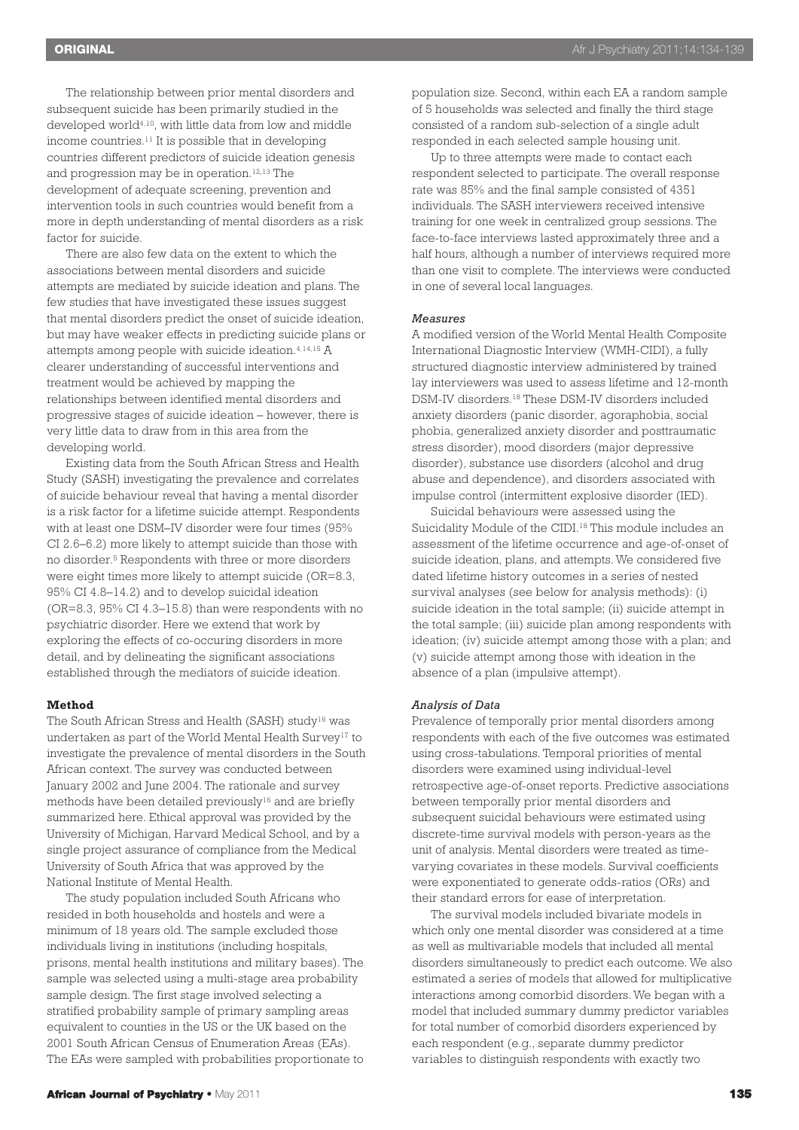The relationship between prior mental disorders and subsequent suicide has been primarily studied in the developed world4,10, with little data from low and middle income countries. <sup>11</sup> It is possible that in developing countries different predictors of suicide ideation genesis and progression may be in operation. 12,13 The development of adequate screening, prevention and intervention tools in such countries would benefit from a more in depth understanding of mental disorders as a risk factor for suicide.

There are also few data on the extent to which the associations between mental disorders and suicide attempts are mediated by suicide ideation and plans. The few studies that have investigated these issues suggest that mental disorders predict the onset of suicide ideation, but may have weaker effects in predicting suicide plans or attempts among people with suicide ideation. 4,14,15 A clearer understanding of successful interventions and treatment would be achieved by mapping the relationships between identified mental disorders and progressive stages of suicide ideation – however, there is very little data to draw from in this area from the developing world.

Existing data from the South African Stress and Health Study (SASH) investigating the prevalence and correlates of suicide behaviour reveal that having a mental disorder is a risk factor for a lifetime suicide attempt. Respondents with at least one DSM–IV disorder were four times (95% CI 2.6–6.2) more likely to attempt suicide than those with no disorder. <sup>5</sup> Respondents with three or more disorders were eight times more likely to attempt suicide (OR=8.3, 95% CI 4.8–14.2) and to develop suicidal ideation (OR=8.3, 95% CI 4.3–15.8) than were respondents with no psychiatric disorder. Here we extend that work by exploring the effects of co-occuring disorders in more detail, and by delineating the significant associations established through the mediators of suicide ideation.

## **Method**

The South African Stress and Health (SASH) study<sup>16</sup> was undertaken as part of the World Mental Health Survey<sup>17</sup> to investigate the prevalence of mental disorders in the South African context. The survey was conducted between January 2002 and June 2004. The rationale and survey methods have been detailed previously<sup>16</sup> and are briefly summarized here. Ethical approval was provided by the University of Michigan, Harvard Medical School, and by a single project assurance of compliance from the Medical University of South Africa that was approved by the National Institute of Mental Health.

The study population included South Africans who resided in both households and hostels and were a minimum of 18 years old. The sample excluded those individuals living in institutions (including hospitals, prisons, mental health institutions and military bases). The sample was selected using a multi-stage area probability sample design. The first stage involved selecting a stratified probability sample of primary sampling areas equivalent to counties in the US or the UK based on the 2001 South African Census of Enumeration Areas (EAs). The EAs were sampled with probabilities proportionate to

Up to three attempts were made to contact each respondent selected to participate. The overall response rate was 85% and the final sample consisted of 4351 individuals. The SASH interviewers received intensive training for one week in centralized group sessions. The face-to-face interviews lasted approximately three and a half hours, although a number of interviews required more than one visit to complete. The interviews were conducted in one of several local languages.

#### *Measures*

A modified version of the World Mental Health Composite International Diagnostic Interview (WMH-CIDI), a fully structured diagnostic interview administered by trained lay interviewers was used to assess lifetime and 12-month DSM-IV disorders. <sup>18</sup> These DSM-IV disorders included anxiety disorders (panic disorder, agoraphobia, social phobia, generalized anxiety disorder and posttraumatic stress disorder), mood disorders (major depressive disorder), substance use disorders (alcohol and drug abuse and dependence), and disorders associated with impulse control (intermittent explosive disorder (IED).

Suicidal behaviours were assessed using the Suicidality Module of the CIDI. <sup>18</sup> This module includes an assessment of the lifetime occurrence and age-of-onset of suicide ideation, plans, and attempts. We considered five dated lifetime history outcomes in a series of nested survival analyses (see below for analysis methods): (i) suicide ideation in the total sample; (ii) suicide attempt in the total sample; (iii) suicide plan among respondents with ideation; (iv) suicide attempt among those with a plan; and (v) suicide attempt among those with ideation in the absence of a plan (impulsive attempt).

## *Analysis of Data*

Prevalence of temporally prior mental disorders among respondents with each of the five outcomes was estimated using cross-tabulations. Temporal priorities of mental disorders were examined using individual-level retrospective age-of-onset reports. Predictive associations between temporally prior mental disorders and subsequent suicidal behaviours were estimated using discrete-time survival models with person-years as the unit of analysis. Mental disorders were treated as timevarying covariates in these models. Survival coefficients were exponentiated to generate odds-ratios (ORs) and their standard errors for ease of interpretation.

The survival models included bivariate models in which only one mental disorder was considered at a time as well as multivariable models that included all mental disorders simultaneously to predict each outcome. We also estimated a series of models that allowed for multiplicative interactions among comorbid disorders. We began with a model that included summary dummy predictor variables for total number of comorbid disorders experienced by each respondent (e.g., separate dummy predictor variables to distinguish respondents with exactly two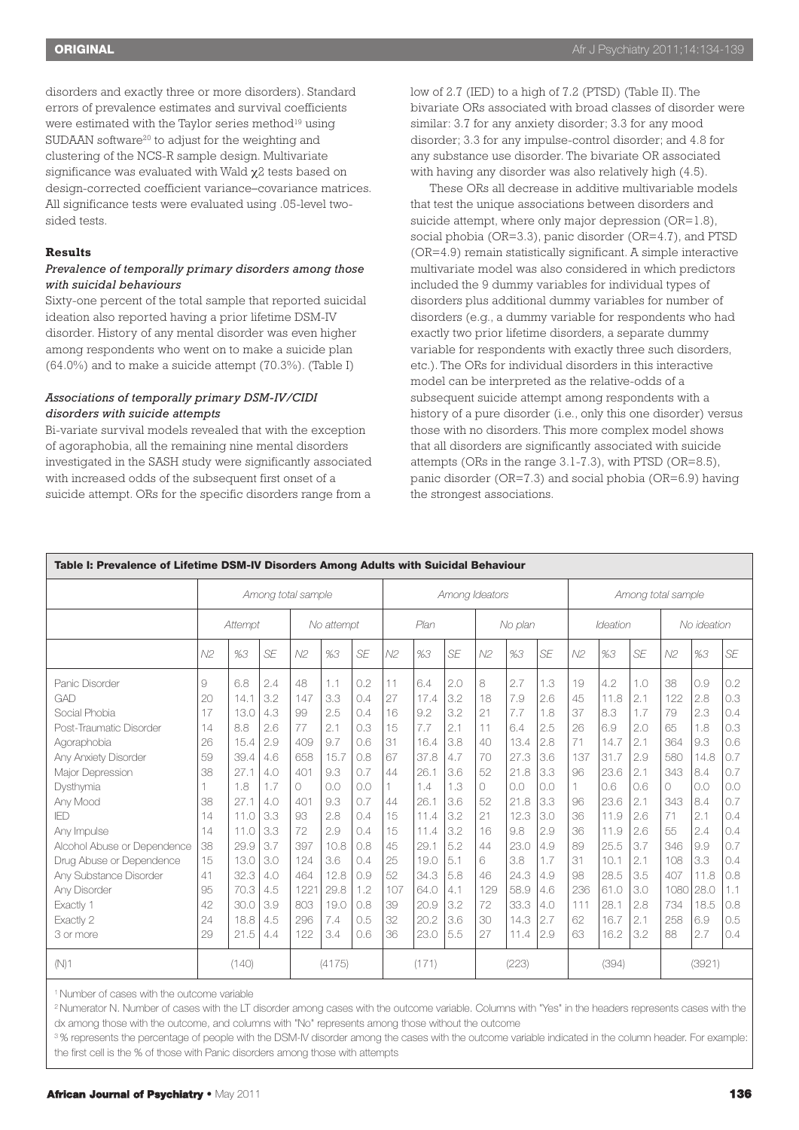disorders and exactly three or more disorders). Standard errors of prevalence estimates and survival coefficients were estimated with the Taylor series method<sup>19</sup> using SUDAAN software<sup>20</sup> to adjust for the weighting and clustering of the NCS-R sample design. Multivariate significance was evaluated with Wald χ2 tests based on design-corrected coefficient variance–covariance matrices. All significance tests were evaluated using .05-level twosided tests.

#### **Results**

## *Prevalence of temporally primary disorders among those with suicidal behaviours*

Sixty-one percent of the total sample that reported suicidal ideation also reported having a prior lifetime DSM-IV disorder. History of any mental disorder was even higher among respondents who went on to make a suicide plan (64.0%) and to make a suicide attempt (70.3%). (Table I)

## *Associations of temporally primary DSM-IV/CIDI disorders with suicide attempts*

Bi-variate survival models revealed that with the exception of agoraphobia, all the remaining nine mental disorders investigated in the SASH study were significantly associated with increased odds of the subsequent first onset of a suicide attempt. ORs for the specific disorders range from a

low of 2.7 (IED) to a high of 7.2 (PTSD) (Table II). The bivariate ORs associated with broad classes of disorder were similar: 3.7 for any anxiety disorder; 3.3 for any mood disorder; 3.3 for any impulse-control disorder; and 4.8 for any substance use disorder. The bivariate OR associated with having any disorder was also relatively high (4.5).

These ORs all decrease in additive multivariable models that test the unique associations between disorders and suicide attempt, where only major depression (OR=1.8), social phobia (OR=3.3), panic disorder (OR=4.7), and PTSD (OR=4.9) remain statistically significant. A simple interactive multivariate model was also considered in which predictors included the 9 dummy variables for individual types of disorders plus additional dummy variables for number of disorders (e.g., a dummy variable for respondents who had exactly two prior lifetime disorders, a separate dummy variable for respondents with exactly three such disorders, etc.). The ORs for individual disorders in this interactive model can be interpreted as the relative-odds of a subsequent suicide attempt among respondents with a history of a pure disorder (i.e., only this one disorder) versus those with no disorders. This more complex model shows that all disorders are significantly associated with suicide attempts (ORs in the range 3.1-7.3), with PTSD (OR=8.5), panic disorder (OR=7.3) and social phobia (OR=6.9) having the strongest associations.

| Table I: Prevalence of Lifetime DSM-IV Disorders Among Adults with Suicidal Behaviour |                    |      |            |                |      |                |         |       |          |         |                    |           |                |      |           |      |      |           |
|---------------------------------------------------------------------------------------|--------------------|------|------------|----------------|------|----------------|---------|-------|----------|---------|--------------------|-----------|----------------|------|-----------|------|------|-----------|
|                                                                                       | Among total sample |      |            |                |      | Among Ideators |         |       |          |         | Among total sample |           |                |      |           |      |      |           |
|                                                                                       | Attempt            |      | No attempt |                | Plan |                | No plan |       | Ideation |         | No ideation        |           |                |      |           |      |      |           |
|                                                                                       | N <sup>2</sup>     | %3   | SE         | N <sup>2</sup> | %3   | <b>SE</b>      | N2      | %3    | SE       | N2      | %3                 | <b>SE</b> | N <sup>2</sup> | %3   | <b>SE</b> | N2   | %3   | <b>SE</b> |
| Panic Disorder                                                                        | 9                  | 6.8  | 2.4        | 48             | 1.1  | 0.2            | 11      | 6.4   | 2.0      | 8       | 2.7                | 1.3       | 19             | 4.2  | 1.0       | 38   | 0.9  | 0.2       |
| GAD                                                                                   | 20                 | 14.1 | 3.2        | 147            | 3.3  | 0.4            | 27      | 17.4  | 3.2      | 18      | 7.9                | 2.6       | 45             | 11.8 | 2.1       | 122  | 2.8  | 0.3       |
| Social Phobia                                                                         | 17                 | 13.0 | 4.3        | 99             | 2.5  | 0.4            | 16      | 9.2   | 3.2      | 21      | 7.7                | 1.8       | 37             | 8.3  | 1.7       | 79   | 2.3  | 0.4       |
| Post-Traumatic Disorder                                                               | 14                 | 8.8  | 2.6        | 77             | 2.1  | 0.3            | 15      | 7.7   | 2.1      | 11      | 6.4                | 2.5       | 26             | 6.9  | 2.0       | 65   | 1.8  | 0.3       |
| Agoraphobia                                                                           | 26                 | 15.4 | 2.9        | 409            | 9.7  | 0.6            | 31      | 16.4  | 3.8      | 40      | 13.4               | 2.8       | 71             | 14.7 | 2.1       | 364  | 9.3  | 0.6       |
| Any Anxiety Disorder                                                                  | 59                 | 39.4 | 4.6        | 658            | 15.7 | 0.8            | 67      | 37.8  | 4.7      | 70      | 27.3               | 3.6       | 137            | 31.7 | 2.9       | 580  | 14.8 | 0.7       |
| Major Depression                                                                      | 38                 | 27.1 | 4.0        | 401            | 9.3  | 0.7            | 44      | 26.1  | 3.6      | 52      | 21.8               | 3.3       | 96             | 23.6 | 2.1       | 343  | 8.4  | 0.7       |
| Dysthymia                                                                             |                    | 1.8  | 1.7        | 0              | 0.0  | 0.0            |         | 1.4   | 1.3      | $\circ$ | 0.0                | 0.0       | 1.             | 0.6  | 0.6       | 0    | 0.0  | 0.0       |
| Any Mood                                                                              | 38                 | 27.1 | 4.0        | 401            | 9.3  | 0.7            | 44      | 26.1  | 3.6      | 52      | 21.8               | 3.3       | 96             | 23.6 | 2.1       | 343  | 8.4  | 0.7       |
| IED                                                                                   | 14                 | 11.0 | 3.3        | 93             | 2.8  | 0.4            | 15      | 11.4  | 3.2      | 21      | 12.3               | 3.0       | 36             | 11.9 | 2.6       | 71   | 2.1  | 0.4       |
| Any Impulse                                                                           | 14                 | 11.0 | 3.3        | 72             | 2.9  | 0.4            | 15      | 11.4  | 3.2      | 16      | 9.8                | 2.9       | 36             | 11.9 | 2.6       | 55   | 2.4  | 0.4       |
| Alcohol Abuse or Dependence                                                           | 38                 | 29.9 | 3.7        | 397            | 10.8 | 0.8            | 45      | 29.1  | 5.2      | 44      | 23.0               | 4.9       | 89             | 25.5 | 3.7       | 346  | 9.9  | 0.7       |
| Drug Abuse or Dependence                                                              | 15                 | 13.0 | 3.0        | 124            | 3.6  | 0.4            | 25      | 19.0  | 5.1      | 6       | 3.8                | 1.7       | 31             | 10.1 | 2.1       | 108  | 3.3  | 0.4       |
| Any Substance Disorder                                                                | 41                 | 32.3 | 4.0        | 464            | 12.8 | 0.9            | 52      | 34.3  | 5.8      | 46      | 24.3               | 4.9       | 98             | 28.5 | 3.5       | 407  | 11.8 | 0.8       |
| Any Disorder                                                                          | 95                 | 70.3 | 4.5        | 1221           | 29.8 | 1.2            | 107     | 64.0  | 4.1      | 129     | 58.9               | 4.6       | 236            | 61.0 | 3.0       | 1080 | 28.0 |           |
| Exactly 1                                                                             | 42                 | 30.0 | 3.9        | 803            | 19.0 | 0.8            | 39      | 20.9  | 3.2      | 72      | 33.3               | 4.0       | 111            | 28.1 | 2.8       | 734  | 18.5 | 0.8       |
| Exactly 2                                                                             | 24                 | 18.8 | 4.5        | 296            | 7.4  | 0.5            | 32      | 20.2  | 3.6      | 30      | 14.3               | 2.7       | 62             | 16.7 | 2.1       | 258  | 6.9  | 0.5       |
| 3 or more                                                                             | 29                 | 21.5 | 4.4        | 122            | 3.4  | 0.6            | 36      | 23.0  | 5.5      | 27      | 11.4               | 2.9       | 63             | 16.2 | 3.2       | 88   | 2.7  | 0.4       |
| (N)1                                                                                  | (140)              |      | (4175)     |                |      | (171)          |         | (223) |          | (394)   |                    | (3921)    |                |      |           |      |      |           |

1Number of cases with the outcome variable

2Numerator N. Number of cases with the LT disorder among cases with the outcome variable. Columns with "Yes" in the headers represents cases with the dx among those with the outcome, and columns with "No" represents among those without the outcome

<sup>3</sup>% represents the percentage of people with the DSM-IV disorder among the cases with the outcome variable indicated in the column header. For example: the first cell is the % of those with Panic disorders among those with attempts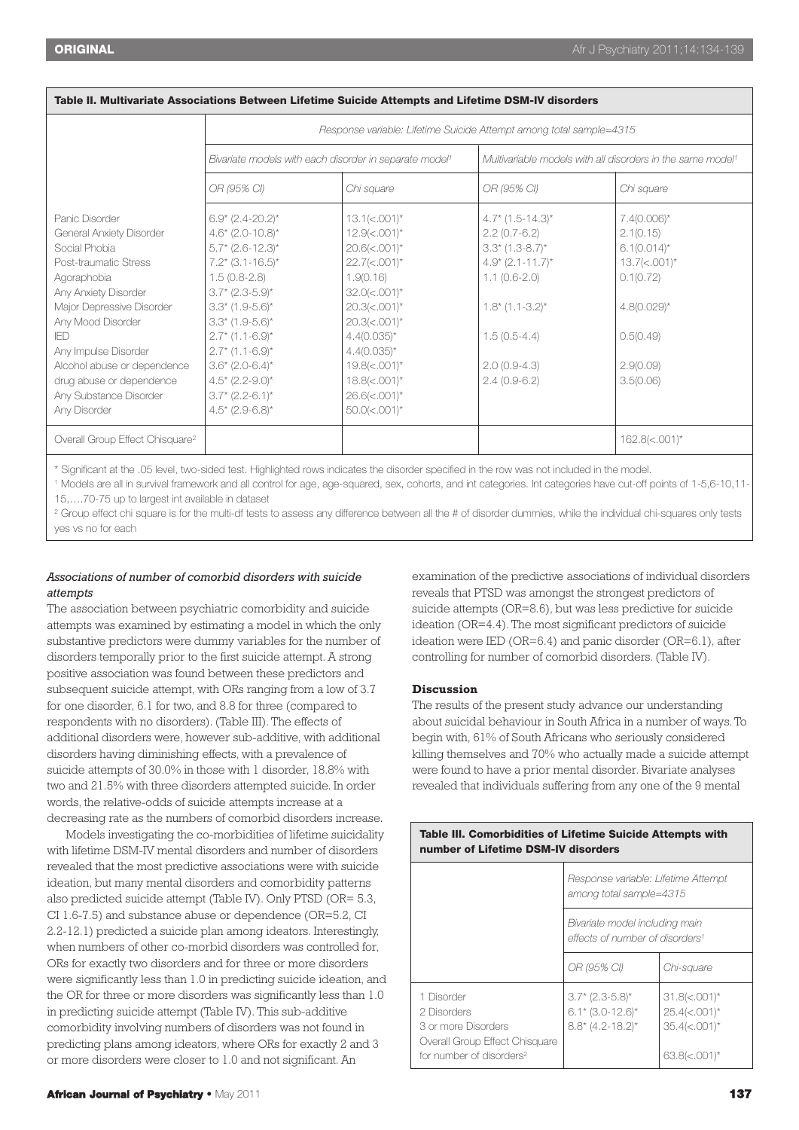|                                             | Response variable: Lifetime Suicide Attempt among total sample=4315 |                                                                    |                                                                        |                     |  |  |  |  |  |
|---------------------------------------------|---------------------------------------------------------------------|--------------------------------------------------------------------|------------------------------------------------------------------------|---------------------|--|--|--|--|--|
|                                             |                                                                     | Bivariate models with each disorder in separate model <sup>1</sup> | Multivariable models with all disorders in the same model <sup>1</sup> |                     |  |  |  |  |  |
|                                             | OR (95% CI)                                                         | Chi square                                                         | OR (95% CI)                                                            | Chi square          |  |  |  |  |  |
| Panic Disorder                              | $6.9* (2.4-20.2)*$                                                  | $13.1(<.001)^{*}$                                                  | $4.7*$ (1.5-14.3)*                                                     | $7.4(0.006)$ *      |  |  |  |  |  |
| General Anxiety Disorder                    | $4.6*$ (2.0-10.8)*                                                  | $12.9(< .001)^{*}$                                                 | $2.2(0.7-6.2)$                                                         | 2.1(0.15)           |  |  |  |  |  |
| Social Phobia                               | $5.7*$ (2.6-12.3)*                                                  | $20.6(< 0.01)^{*}$                                                 | $3.3^*$ (1.3-8.7) <sup>*</sup>                                         | $6.1(0.014)^{*}$    |  |  |  |  |  |
| Post-traumatic Stress                       | $7.2* (3.1-16.5)*$                                                  | $22.7(<.001)^{*}$                                                  | $4.9* (2.1-11.7)*$                                                     | $13.7(< 0.001)^{*}$ |  |  |  |  |  |
| Agoraphobia                                 | $1.5(0.8-2.8)$                                                      | 1.9(0.16)                                                          | $1.1(0.6-2.0)$                                                         | 0.1(0.72)           |  |  |  |  |  |
| Any Anxiety Disorder                        | $3.7*$ (2.3-5.9)*                                                   | $32.0(<.001)^{*}$                                                  |                                                                        |                     |  |  |  |  |  |
| Major Depressive Disorder                   | $3.3*$ (1.9-5.6)*                                                   | $20.3(< 0.001)^{*}$                                                | $1.8*(1.1-3.2)^{*}$                                                    | $4.8(0.029)$ *      |  |  |  |  |  |
| Any Mood Disorder                           | $3.3^*$ (1.9-5.6)*                                                  | $20.3(< 0.001)^{*}$                                                |                                                                        |                     |  |  |  |  |  |
| IFD.                                        | $2.7*(1.1-6.9)^{*}$                                                 | $4.4(0.035)^{*}$                                                   | $1.5(0.5-4.4)$                                                         | 0.5(0.49)           |  |  |  |  |  |
| Any Impulse Disorder                        | $2.7*$ (1.1-6.9)*                                                   | $4.4(0.035)^{*}$                                                   |                                                                        |                     |  |  |  |  |  |
| Alcohol abuse or dependence                 | $3.6^{\star}$ (2.0-6.4) <sup>*</sup>                                | $19.8(< 0.001)^{*}$                                                | $2.0(0.9-4.3)$                                                         | 2.9(0.09)           |  |  |  |  |  |
| drug abuse or dependence                    | $4.5*(2.2-9.0)^{*}$                                                 | $18.8(< .001)^{*}$                                                 | $2.4(0.9-6.2)$                                                         | 3.5(0.06)           |  |  |  |  |  |
| Any Substance Disorder                      | $3.7*(2.2-6.1)^{*}$                                                 | $26.6(< .001)^{*}$                                                 |                                                                        |                     |  |  |  |  |  |
| Any Disorder                                | $4.5*(2.9-6.8)^{*}$                                                 | $50.0(<.001)^{*}$                                                  |                                                                        |                     |  |  |  |  |  |
| Overall Group Effect Chisquare <sup>2</sup> |                                                                     |                                                                    |                                                                        | $162.8(< .001)^{*}$ |  |  |  |  |  |

**Table II. Multivariate Associations Between Lifetime Suicide Attempts and Lifetime DSM-IV disorders**

\* Significant at the .05 level, two-sided test. Highlighted rows indicates the disorder specified in the row was not included in the model.

<sup>1</sup> Models are all in survival framework and all control for age, age-squared, sex, cohorts, and int categories. Int categories have cut-off points of 1-5,6-10,11- 15,….70-75 up to largest int available in dataset

<sup>2</sup> Group effect chi square is for the multi-df tests to assess any difference between all the # of disorder dummies, while the individual chi-squares only tests yes vs no for each

## *Associations of number of comorbid disorders with suicide attempts*

The association between psychiatric comorbidity and suicide attempts was examined by estimating a model in which the only substantive predictors were dummy variables for the number of disorders temporally prior to the first suicide attempt. A strong positive association was found between these predictors and subsequent suicide attempt, with ORs ranging from a low of 3.7 for one disorder, 6.1 for two, and 8.8 for three (compared to respondents with no disorders). (Table III). The effects of additional disorders were, however sub-additive, with additional disorders having diminishing effects, with a prevalence of suicide attempts of 30.0% in those with 1 disorder, 18.8% with two and 21.5% with three disorders attempted suicide. In order words, the relative-odds of suicide attempts increase at a decreasing rate as the numbers of comorbid disorders increase.

Models investigating the co-morbidities of lifetime suicidality with lifetime DSM-IV mental disorders and number of disorders revealed that the most predictive associations were with suicide ideation, but many mental disorders and comorbidity patterns also predicted suicide attempt (Table IV). Only PTSD (OR= 5.3, CI 1.6-7.5) and substance abuse or dependence (OR=5.2, CI 2.2-12.1) predicted a suicide plan among ideators. Interestingly, when numbers of other co-morbid disorders was controlled for, ORs for exactly two disorders and for three or more disorders were significantly less than 1.0 in predicting suicide ideation, and the OR for three or more disorders was significantly less than 1.0 in predicting suicide attempt (Table IV). This sub-additive comorbidity involving numbers of disorders was not found in predicting plans among ideators, where ORs for exactly 2 and 3 or more disorders were closer to 1.0 and not significant. An

examination of the predictive associations of individual disorders reveals that PTSD was amongst the strongest predictors of suicide attempts (OR=8.6), but was less predictive for suicide ideation (OR=4.4). The most significant predictors of suicide ideation were IED (OR=6.4) and panic disorder (OR=6.1), after controlling for number of comorbid disorders. (Table IV).

#### **Discussion**

The results of the present study advance our understanding about suicidal behaviour in South Africa in a number of ways. To begin with, 61% of South Africans who seriously considered killing themselves and 70% who actually made a suicide attempt were found to have a prior mental disorder. Bivariate analyses revealed that individuals suffering from any one of the 9 mental

| Table III. Comorbidities of Lifetime Suicide Attempts with<br>number of Lifetime DSM-IV disorders                          |                                                                               |                                                                           |  |  |  |  |  |  |
|----------------------------------------------------------------------------------------------------------------------------|-------------------------------------------------------------------------------|---------------------------------------------------------------------------|--|--|--|--|--|--|
|                                                                                                                            | Response variable: Lifetime Attempt<br>among total sample=4315                |                                                                           |  |  |  |  |  |  |
|                                                                                                                            | Bivariate model including main<br>effects of number of disorders <sup>1</sup> |                                                                           |  |  |  |  |  |  |
|                                                                                                                            | OR (95% CI)                                                                   | Chi-square                                                                |  |  |  |  |  |  |
| 1 Disorder<br>2 Disorders<br>3 or more Disorders<br>Overall Group Effect Chisquare<br>for number of disorders <sup>2</sup> | $3.7*$ (2.3-5.8)*<br>$6.1*$ (3.0-12.6)*<br>$8.8*$ (4.2-18.2)*                 | $31.8(< .001)^{*}$<br>$25.4(<.001)*$<br>$35.4(<.001)*$<br>$63.8(<.001)$ * |  |  |  |  |  |  |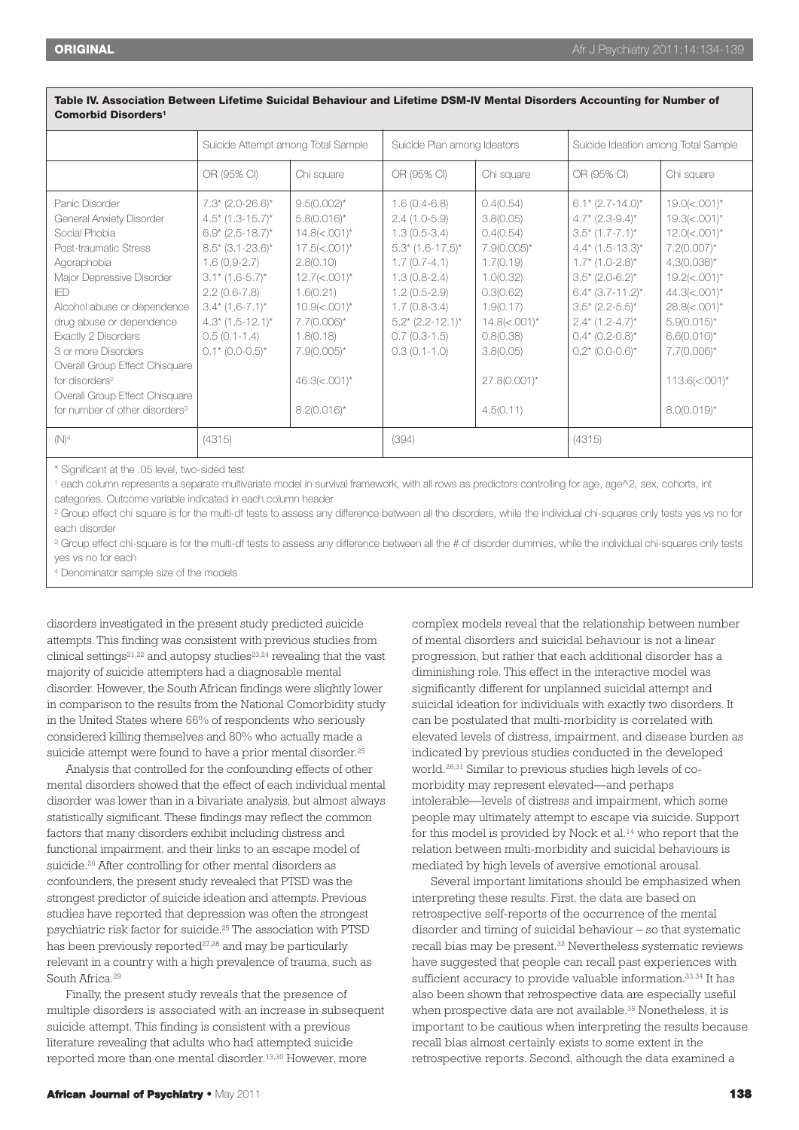|                                                                                                                                                                                                                                                                                                                                                                                                         | Suicide Attempt among Total Sample                                                                                                                                                                                                               |                                                                                                                                                                                                                                                        | Suicide Plan among Ideators                                                                                                                                                                                                   |                                                                                                                                                                                  | Suicide Ideation among Total Sample                                                                                                                                                                                                                       |                                                                                                                                                                                                                                                                                 |  |  |  |  |
|---------------------------------------------------------------------------------------------------------------------------------------------------------------------------------------------------------------------------------------------------------------------------------------------------------------------------------------------------------------------------------------------------------|--------------------------------------------------------------------------------------------------------------------------------------------------------------------------------------------------------------------------------------------------|--------------------------------------------------------------------------------------------------------------------------------------------------------------------------------------------------------------------------------------------------------|-------------------------------------------------------------------------------------------------------------------------------------------------------------------------------------------------------------------------------|----------------------------------------------------------------------------------------------------------------------------------------------------------------------------------|-----------------------------------------------------------------------------------------------------------------------------------------------------------------------------------------------------------------------------------------------------------|---------------------------------------------------------------------------------------------------------------------------------------------------------------------------------------------------------------------------------------------------------------------------------|--|--|--|--|
|                                                                                                                                                                                                                                                                                                                                                                                                         | OR (95% CI)                                                                                                                                                                                                                                      | Chi square                                                                                                                                                                                                                                             | OR (95% CI)                                                                                                                                                                                                                   | Chi square                                                                                                                                                                       | OR (95% CI)                                                                                                                                                                                                                                               | Chi square                                                                                                                                                                                                                                                                      |  |  |  |  |
| Panic Disorder<br>General Anxiety Disorder<br>Social Phobia<br>Post-traumatic Stress<br>Agoraphobia<br>Major Depressive Disorder<br><b>IFD</b><br>Alcohol abuse or dependence<br>drug abuse or dependence<br>Exactly 2 Disorders<br>3 or more Disorders<br>Overall Group Effect Chisquare<br>for disorders <sup>2</sup><br>Overall Group Effect Chisquare<br>for number of other disorders <sup>3</sup> | $7.3* (2.0-26.6)*$<br>$4.5$ * (1.3-15.7)*<br>$6.9* (2.5-18.7)*$<br>$8.5^*$ (3.1-23.6)*<br>$1.6(0.9-2.7)$<br>$3.1*$ (1.6-5.7)*<br>$2.2(0.6-7.8)$<br>$3.4*(1.6-7.1)^{*}$<br>$4.3^*$ (1.5-12.1) <sup>*</sup><br>$0.5(0.1-1.4)$<br>$0.1*$ (0.0-0.5)* | $9.5(0.002)^{*}$<br>$5.8(0.016)^{*}$<br>$14.8(< 0.001)^{*}$<br>$17.5(< 0.001)^{*}$<br>2.8(0.10)<br>$12.7(<.001)^{*}$<br>1.6(0.21)<br>$10.9(< 0.001)^{*}$<br>$7.7(0.006)^{*}$<br>1.8(0.18)<br>$7.9(0.005)^{*}$<br>$46.3(<.001)^{*}$<br>$8.2(0.016)^{*}$ | $1.6(0.4-6.8)$<br>$2.4(1.0-5.9)$<br>$1.3(0.5-3.4)$<br>$5.3*$ (1.6-17.5)*<br>$1.7(0.7-4.1)$<br>$1.3(0.8-2.4)$<br>$1.2(0.5-2.9)$<br>$1.7(0.8-3.4)$<br>$5.2^{\star}$ (2.2-12.1) <sup>*</sup><br>$0.7(0.3-1.5)$<br>$0.3(0.1-1.0)$ | 0.4(0.54)<br>3.8(0.05)<br>0.4(0.54)<br>7.9(0.005)*<br>1.7(0.19)<br>1.0(0.32)<br>0.3(0.62)<br>1.9(0.17)<br>$14.8(<.001)$ *<br>0.8(0.38)<br>3.8(0.05)<br>27.8(0.001)*<br>4.5(0.11) | $6.1* (2.7-14.0)*$<br>$4.7*$ (2.3-9.4)*<br>$3.5^*$ (1.7-7.1) <sup>*</sup><br>$4.4*$ (1.5-13.3)*<br>$1.7*$ (1.0-2.8)*<br>$3.5*(2.0-6.2)^{*}$<br>$6.4* (3.7-11.2)*$<br>$3.5*(2.2-5.5)^*$<br>$2.4*(1.2-4.7)^{*}$<br>$0.4* (0.2-0.8)*$<br>$0.2^* (0.0-0.6)^*$ | $19.0(<.001)^{*}$<br>$19.3(< .001)^{*}$<br>$12.0(< 0.001)^{*}$<br>$7.2(0.007)^{*}$<br>$4.3(0.038)^{*}$<br>$19.2(<.001)^{*}$<br>$44.3(< 0.001)^{*}$<br>$28.8(<.001)^{*}$<br>$5.9(0.015)^{*}$<br>$6.6(0.010)^{*}$<br>$7.7(0.006)^{*}$<br>$113.6(< 0.001)^{*}$<br>$8.0(0.019)^{*}$ |  |  |  |  |
| $(N)^4$                                                                                                                                                                                                                                                                                                                                                                                                 | (4315)                                                                                                                                                                                                                                           |                                                                                                                                                                                                                                                        | (394)                                                                                                                                                                                                                         |                                                                                                                                                                                  | (4315)                                                                                                                                                                                                                                                    |                                                                                                                                                                                                                                                                                 |  |  |  |  |

Table IV. Association Between Lifetime Suicidal Behaviour and Lifetime DSM-IV Mental Disorders Accounting for Number of **Comorbid Disorders1**

\* Significant at the .05 level, two-sided test

<sup>1</sup> each column represents a separate multivariate model in survival framework, with all rows as predictors controlling for age, age^2, sex, cohorts, int categories. Outcome variable indicated in each column header

<sup>2</sup> Group effect chi square is for the multi-df tests to assess any difference between all the disorders, while the individual chi-squares only tests yes ys no for each disorder

<sup>3</sup> Group effect chi-square is for the multi-df tests to assess any difference between all the # of disorder dummies, while the individual chi-squares only tests yes vs no for each

<sup>4</sup> Denominator sample size of the models

disorders investigated in the present study predicted suicide attempts. This finding was consistent with previous studies from clinical settings<sup>21,22</sup> and autopsy studies<sup>23,24</sup> revealing that the vast majority of suicide attempters had a diagnosable mental disorder. However, the South African findings were slightly lower in comparison to the results from the National Comorbidity study in the United States where 66% of respondents who seriously considered killing themselves and 80% who actually made a suicide attempt were found to have a prior mental disorder. 25

Analysis that controlled for the confounding effects of other mental disorders showed that the effect of each individual mental disorder was lower than in a bivariate analysis, but almost always statistically significant. These findings may reflect the common factors that many disorders exhibit including distress and functional impairment, and their links to an escape model of suicide. <sup>26</sup> After controlling for other mental disorders as confounders, the present study revealed that PTSD was the strongest predictor of suicide ideation and attempts. Previous studies have reported that depression was often the strongest psychiatric risk factor for suicide. <sup>25</sup> The association with PTSD has been previously reported<sup>27,28</sup> and may be particularly relevant in a country with a high prevalence of trauma, such as South Africa. 29

Finally, the present study reveals that the presence of multiple disorders is associated with an increase in subsequent suicide attempt. This finding is consistent with a previous literature revealing that adults who had attempted suicide reported more than one mental disorder. 13,30 However, more

**African Journal of Psychiatry •** May 2011 **138**

complex models reveal that the relationship between number of mental disorders and suicidal behaviour is not a linear progression, but rather that each additional disorder has a diminishing role. This effect in the interactive model was significantly different for unplanned suicidal attempt and suicidal ideation for individuals with exactly two disorders. It can be postulated that multi-morbidity is correlated with elevated levels of distress, impairment, and disease burden as indicated by previous studies conducted in the developed world. 26,31 Similar to previous studies high levels of comorbidity may represent elevated—and perhaps intolerable—levels of distress and impairment, which some people may ultimately attempt to escape via suicide. Support for this model is provided by Nock et al. <sup>14</sup> who report that the relation between multi-morbidity and suicidal behaviours is mediated by high levels of aversive emotional arousal.

Several important limitations should be emphasized when interpreting these results. First, the data are based on retrospective self-reports of the occurrence of the mental disorder and timing of suicidal behaviour – so that systematic recall bias may be present. <sup>32</sup> Nevertheless systematic reviews have suggested that people can recall past experiences with sufficient accuracy to provide valuable information.<sup>33,34</sup> It has also been shown that retrospective data are especially useful when prospective data are not available. <sup>35</sup> Nonetheless, it is important to be cautious when interpreting the results because recall bias almost certainly exists to some extent in the retrospective reports. Second, although the data examined a